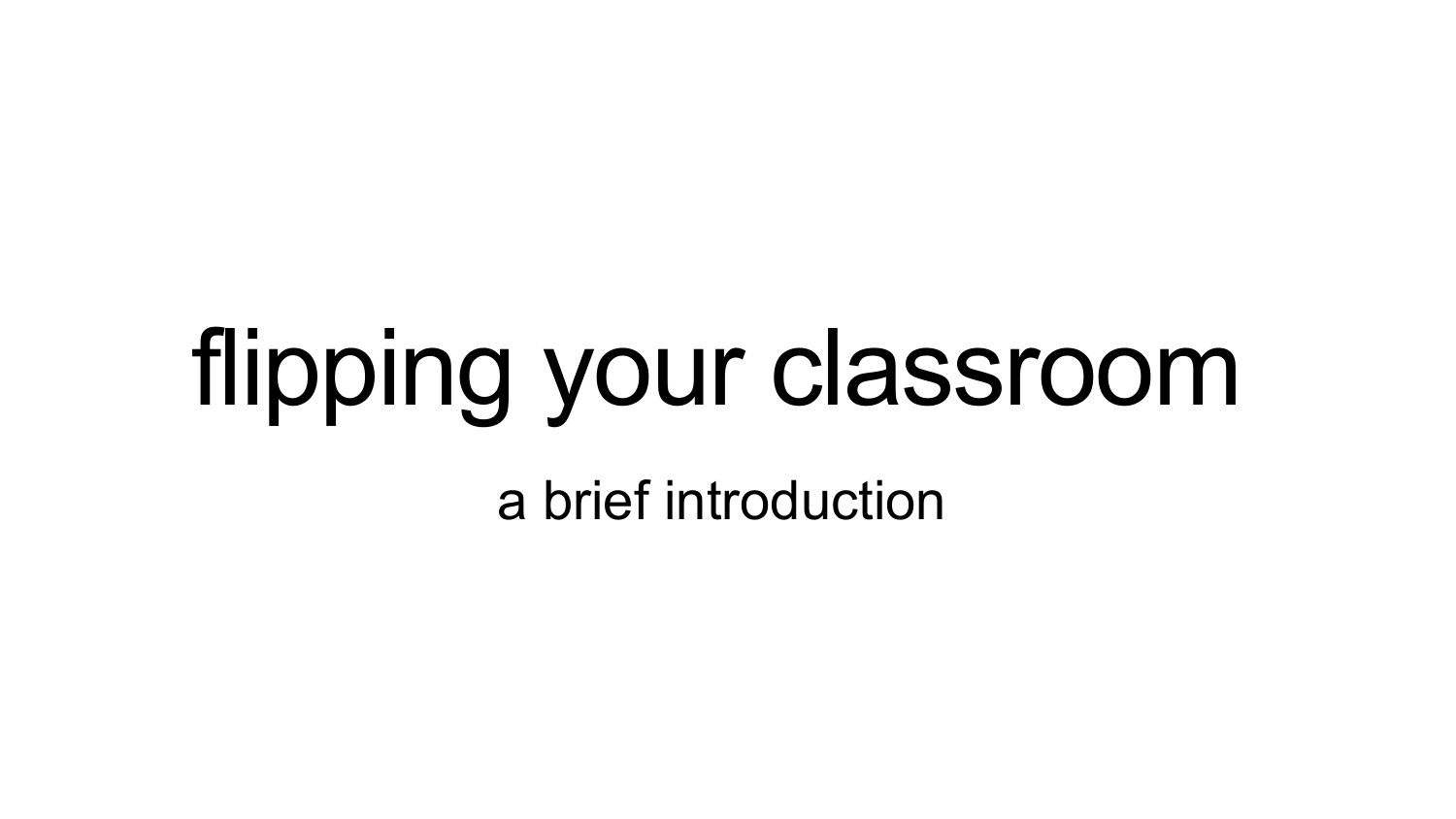# flipping your classroom

a brief introduction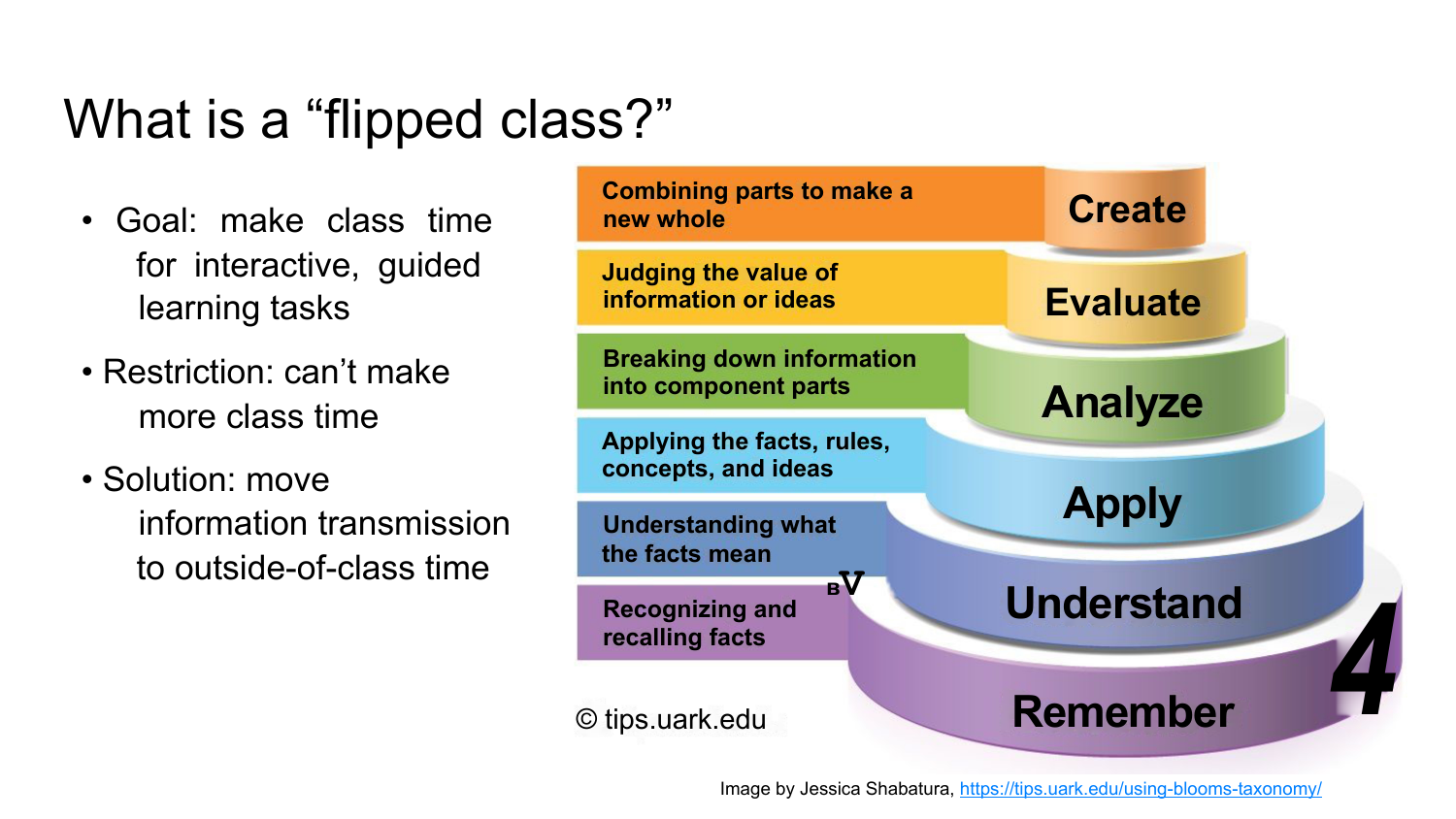#### What is a "flipped class?"

- Goal: make class time for interactive, guided learning tasks
- Restriction: can't make more class time
- Solution: move information transmission to outside-of-class time

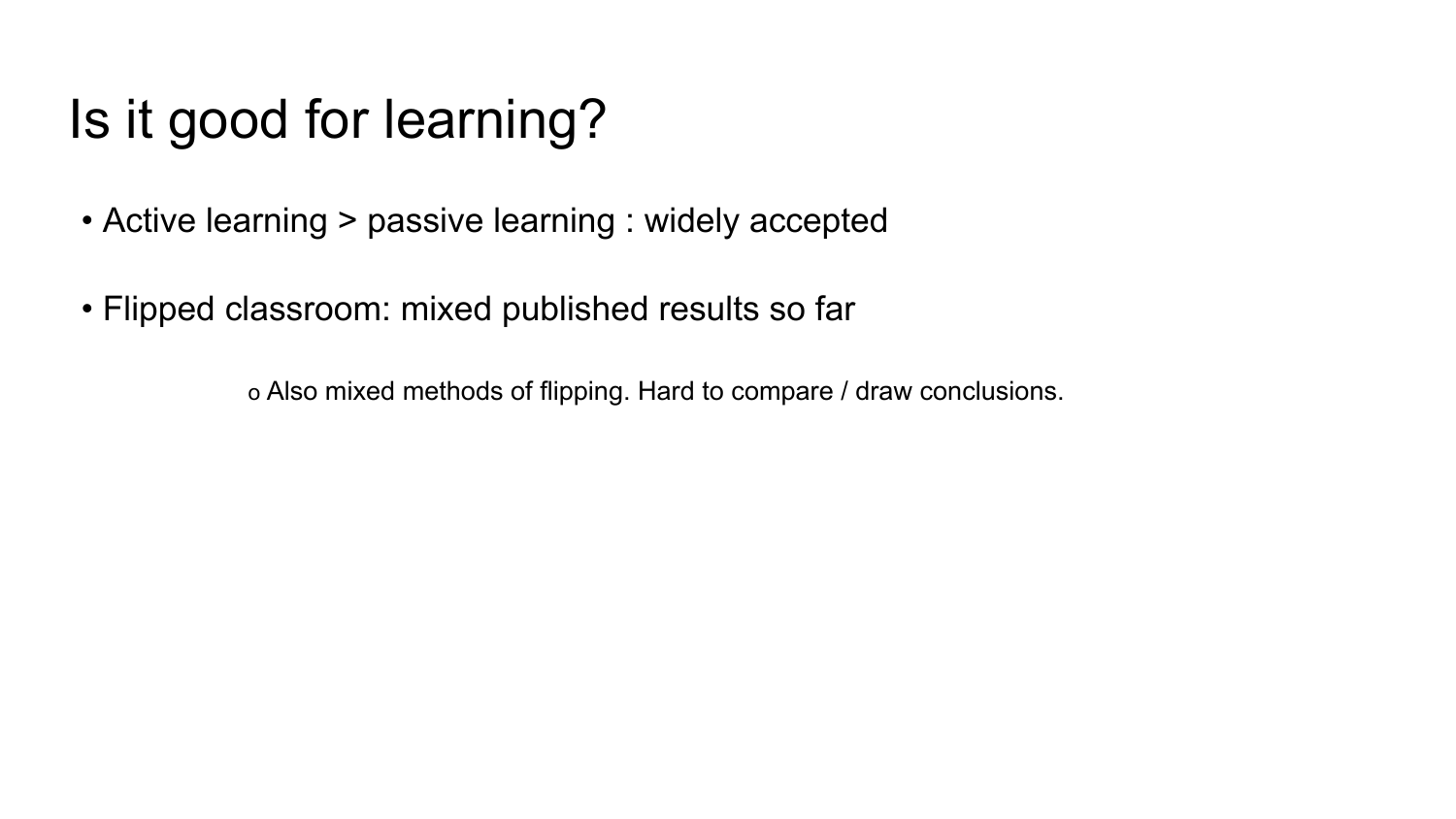## Is it good for learning?

- Active learning > passive learning : widely accepted
- Flipped classroom: mixed published results so far

о Also mixed methods of flipping. Hard to compare / draw conclusions.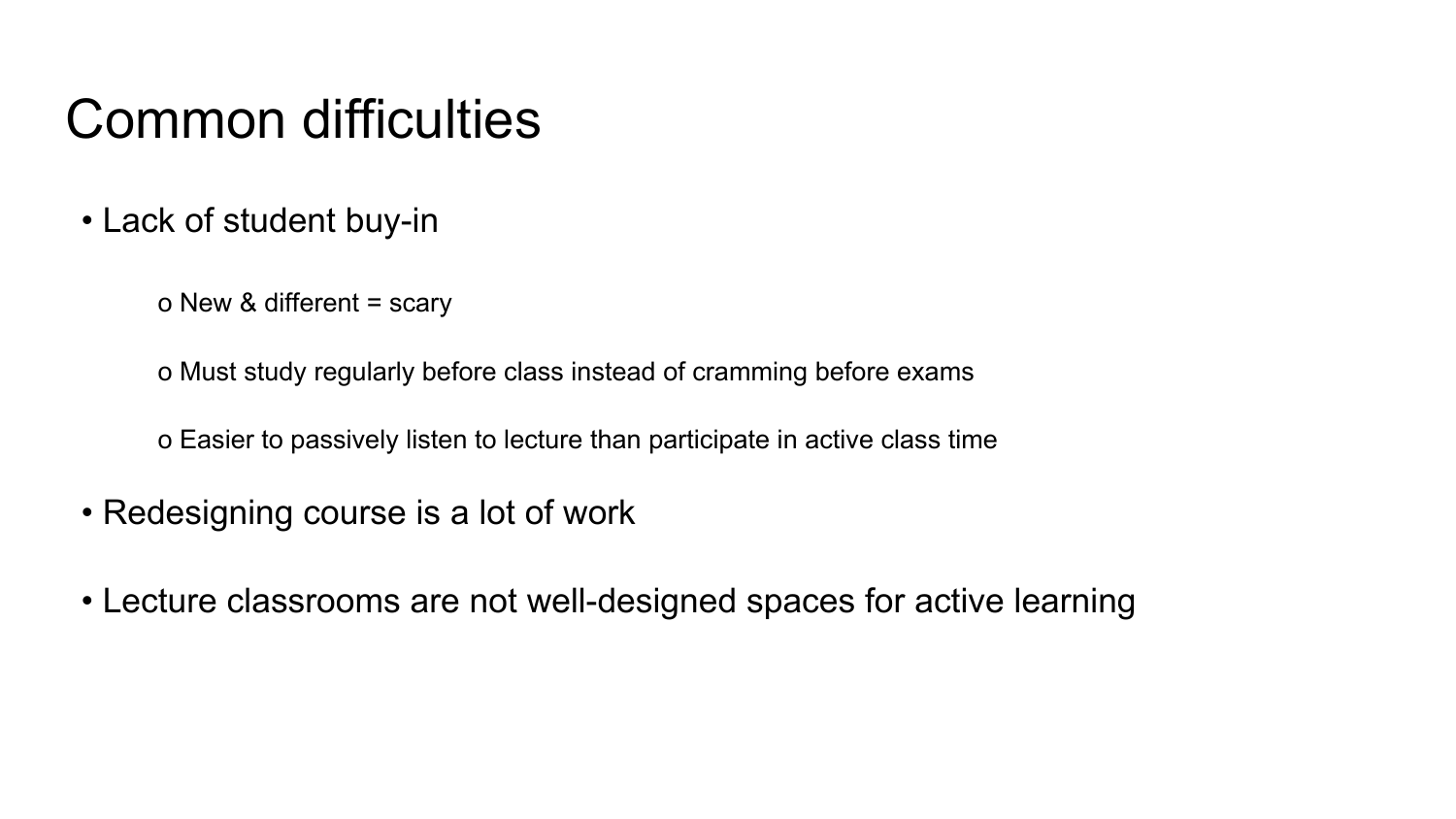#### Common difficulties

- Lack of student buy-in
	- о New & different = scary

о Must study regularly before class instead of cramming before exams

о Easier to passively listen to lecture than participate in active class time

- Redesigning course is a lot of work
- Lecture classrooms are not well-designed spaces for active learning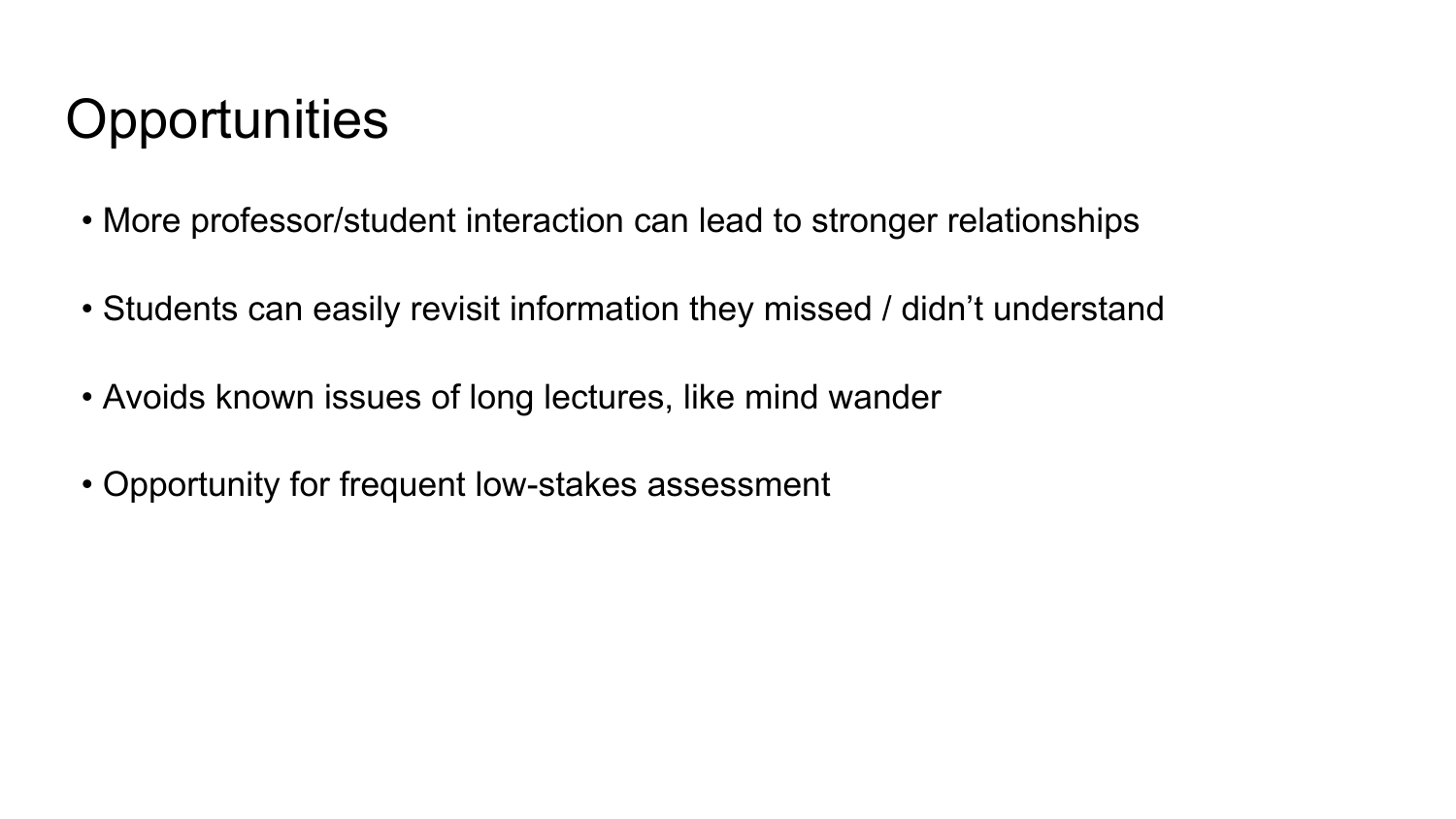## **Opportunities**

- More professor/student interaction can lead to stronger relationships
- Students can easily revisit information they missed / didn't understand
- Avoids known issues of long lectures, like mind wander
- Opportunity for frequent low-stakes assessment